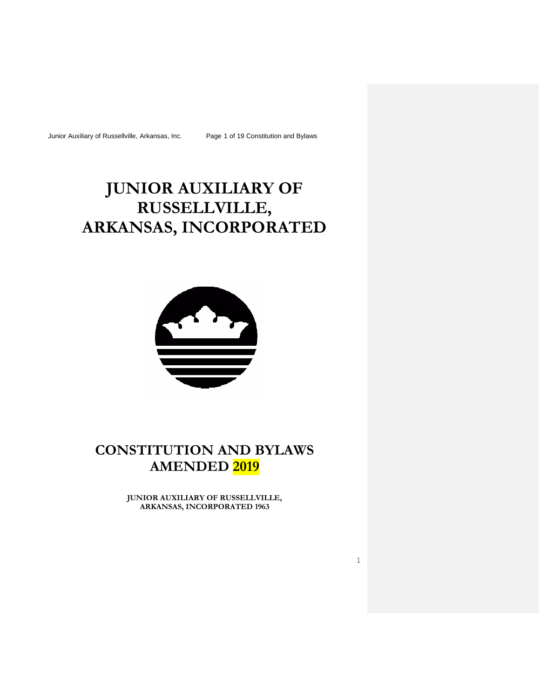Junior Auxiliary of Russellville, Arkansas, Inc. Page 1 of 19 Constitution and Bylaws

# **JUNIOR AUXILIARY OF RUSSELLVILLE, ARKANSAS, INCORPORATED**



# **CONSTITUTION AND BYLAWS AMENDED 2019**

**JUNIOR AUXILIARY OF RUSSELLVILLE, ARKANSAS, INCORPORATED 1963**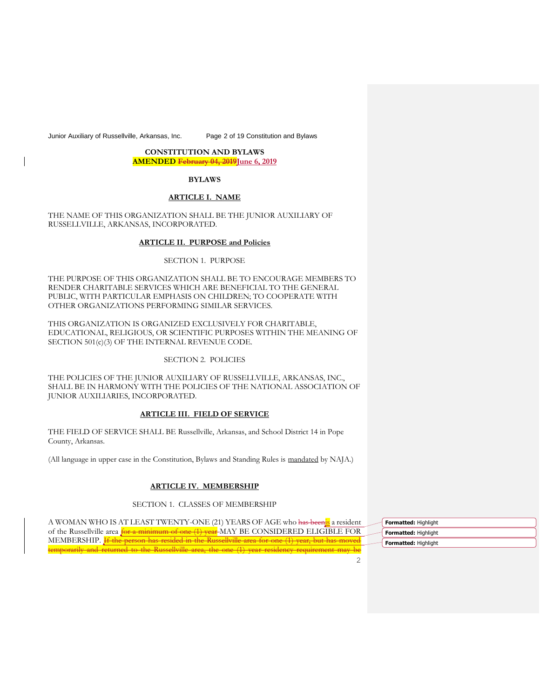Junior Auxiliary of Russellville, Arkansas, Inc. Page 2 of 19 Constitution and Bylaws

# **CONSTITUTION AND BYLAWS**

**AMENDED February 04, 2019** June 6, 2019

# **BYLAWS**

# **ARTICLE I. NAME**

THE NAME OF THIS ORGANIZATION SHALL BE THE JUNIOR AUXILIARY OF RUSSELLVILLE, ARKANSAS, INCORPORATED.

# **ARTICLE II. PURPOSE and Policies**

# SECTION 1. PURPOSE

THE PURPOSE OF THIS ORGANIZATION SHALL BE TO ENCOURAGE MEMBERS TO RENDER CHARITABLE SERVICES WHICH ARE BENEFICIAL TO THE GENERAL PUBLIC, WITH PARTICULAR EMPHASIS ON CHILDREN; TO COOPERATE WITH OTHER ORGANIZATIONS PERFORMING SIMILAR SERVICES.

THIS ORGANIZATION IS ORGANIZED EXCLUSIVELY FOR CHARITABLE, EDUCATIONAL, RELIGIOUS, OR SCIENTIFIC PURPOSES WITHIN THE MEANING OF SECTION 501(c)(3) OF THE INTERNAL REVENUE CODE.

# SECTION 2. POLICIES

THE POLICIES OF THE JUNIOR AUXILIARY OF RUSSELLVILLE, ARKANSAS, INC., SHALL BE IN HARMONY WITH THE POLICIES OF THE NATIONAL ASSOCIATION OF JUNIOR AUXILIARIES, INCORPORATED.

# **ARTICLE III. FIELD OF SERVICE**

THE FIELD OF SERVICE SHALL BE Russellville, Arkansas, and School District 14 in Pope County, Arkansas.

(All language in upper case in the Constitution, Bylaws and Standing Rules is mandated by NAJA.)

# **ARTICLE IV. MEMBERSHIP**

# SECTION 1. CLASSES OF MEMBERSHIP

A WOMAN WHO IS AT LEAST TWENTY-ONE (21) YEARS OF AGE who has beenis a resident of the Russellville area for a minimum of one (1) year-MAY BE CONSIDERED ELIGIBLE FOR MEMBERSHIP. If the person has resided in the Russellville area for one (1) year, but has moved temporarily and returned to the Russellville area, the one (1) year residency requirement may be

**Formatted:** Highlight **Formatted:** Highlight **Formatted:** Highlight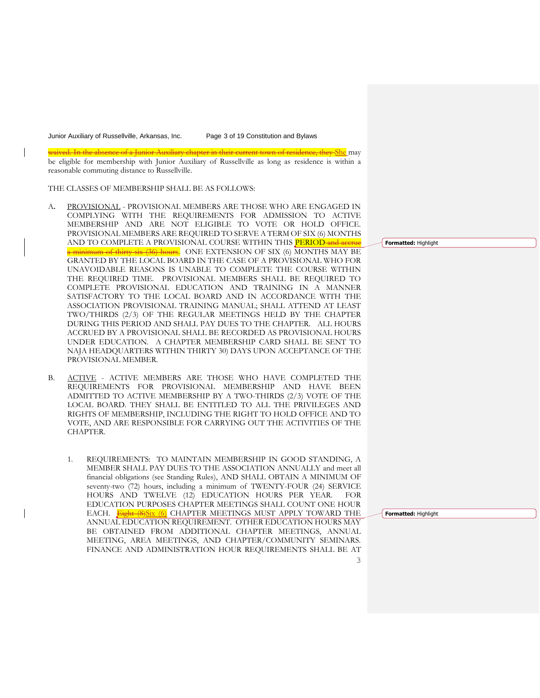Junior Auxiliary of Russellville, Arkansas, Inc. Page 3 of 19 Constitution and Bylaws

waived. In the absence of a Junior Auxiliary chapter in their current town of residence, they She may

be eligible for membership with Junior Auxiliary of Russellville as long as residence is within a reasonable commuting distance to Russellville.

THE CLASSES OF MEMBERSHIP SHALL BE AS FOLLOWS:

- A**.** PROVISIONAL PROVISIONAL MEMBERS ARE THOSE WHO ARE ENGAGED IN COMPLYING WITH THE REQUIREMENTS FOR ADMISSION TO ACTIVE MEMBERSHIP AND ARE NOT ELIGIBLE TO VOTE OR HOLD OFFICE. PROVISIONAL MEMBERS ARE REQUIRED TO SERVE A TERM OF SIX (6) MONTHS AND TO COMPLETE A PROVISIONAL COURSE WITHIN THIS PERIOD and accrue a minimum of thirty-six (36) hours. ONE EXTENSION OF SIX (6) MONTHS MAY BE GRANTED BY THE LOCAL BOARD IN THE CASE OF A PROVISIONAL WHO FOR UNAVOIDABLE REASONS IS UNABLE TO COMPLETE THE COURSE WITHIN THE REQUIRED TIME. PROVISIONAL MEMBERS SHALL BE REQUIRED TO COMPLETE PROVISIONAL EDUCATION AND TRAINING IN A MANNER SATISFACTORY TO THE LOCAL BOARD AND IN ACCORDANCE WITH THE ASSOCIATION PROVISIONAL TRAINING MANUAL; SHALL ATTEND AT LEAST TWO/THIRDS (2/3) OF THE REGULAR MEETINGS HELD BY THE CHAPTER DURING THIS PERIOD AND SHALL PAY DUES TO THE CHAPTER. ALL HOURS ACCRUED BY A PROVISIONAL SHALL BE RECORDED AS PROVISIONAL HOURS UNDER EDUCATION. A CHAPTER MEMBERSHIP CARD SHALL BE SENT TO NAJA HEADQUARTERS WITHIN THIRTY 30) DAYS UPON ACCEPTANCE OF THE PROVISIONAL MEMBER.
- B. ACTIVE ACTIVE MEMBERS ARE THOSE WHO HAVE COMPLETED THE REQUIREMENTS FOR PROVISIONAL MEMBERSHIP AND HAVE BEEN ADMITTED TO ACTIVE MEMBERSHIP BY A TWO-THIRDS (2/3) VOTE OF THE LOCAL BOARD. THEY SHALL BE ENTITLED TO ALL THE PRIVILEGES AND RIGHTS OF MEMBERSHIP, INCLUDING THE RIGHT TO HOLD OFFICE AND TO VOTE, AND ARE RESPONSIBLE FOR CARRYING OUT THE ACTIVITIES OF THE CHAPTER.
	- 1. REQUIREMENTS: TO MAINTAIN MEMBERSHIP IN GOOD STANDING, A MEMBER SHALL PAY DUES TO THE ASSOCIATION ANNUALLY and meet all financial obligations (see Standing Rules), AND SHALL OBTAIN A MINIMUM OF seventy-two (72) hours, including a minimum of TWENTY-FOUR (24) SERVICE HOURS AND TWELVE (12) EDUCATION HOURS PER YEAR. FOR EDUCATION PURPOSES CHAPTER MEETINGS SHALL COUNT ONE HOUR EACH. **Eight (8)Six (6)** CHAPTER MEETINGS MUST APPLY TOWARD THE ANNUAL EDUCATION REQUIREMENT. OTHER EDUCATION HOURS MAY BE OBTAINED FROM ADDITIONAL CHAPTER MEETINGS, ANNUAL MEETING, AREA MEETINGS, AND CHAPTER/COMMUNITY SEMINARS. FINANCE AND ADMINISTRATION HOUR REQUIREMENTS SHALL BE AT

**Formatted:** Highlight

**Formatted:** Highlight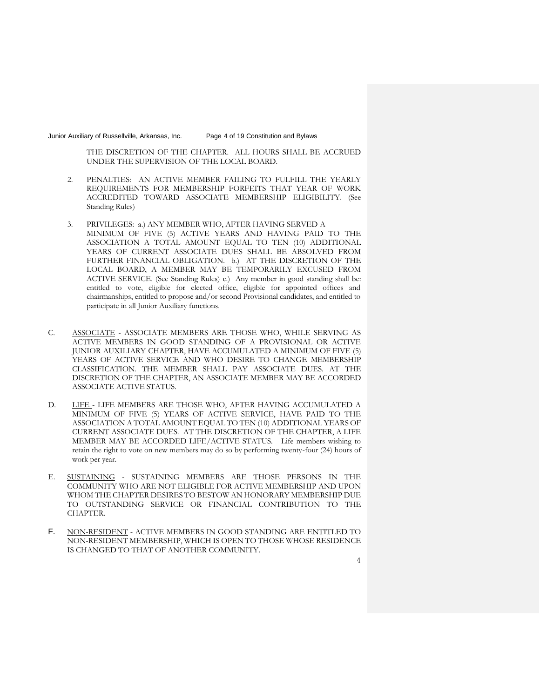Junior Auxiliary of Russellville, Arkansas, Inc. Page 4 of 19 Constitution and Bylaws

THE DISCRETION OF THE CHAPTER. ALL HOURS SHALL BE ACCRUED UNDER THE SUPERVISION OF THE LOCAL BOARD.

- 2. PENALTIES: AN ACTIVE MEMBER FAILING TO FULFILL THE YEARLY REQUIREMENTS FOR MEMBERSHIP FORFEITS THAT YEAR OF WORK ACCREDITED TOWARD ASSOCIATE MEMBERSHIP ELIGIBILITY. (See Standing Rules)
- 3. PRIVILEGES: a.) ANY MEMBER WHO, AFTER HAVING SERVED A MINIMUM OF FIVE (5) ACTIVE YEARS AND HAVING PAID TO THE ASSOCIATION A TOTAL AMOUNT EQUAL TO TEN (10) ADDITIONAL YEARS OF CURRENT ASSOCIATE DUES SHALL BE ABSOLVED FROM FURTHER FINANCIAL OBLIGATION. b.) AT THE DISCRETION OF THE LOCAL BOARD, A MEMBER MAY BE TEMPORARILY EXCUSED FROM ACTIVE SERVICE. (See Standing Rules) c.) Any member in good standing shall be: entitled to vote, eligible for elected office, eligible for appointed offices and chairmanships, entitled to propose and/or second Provisional candidates, and entitled to participate in all Junior Auxiliary functions.
- C. ASSOCIATE ASSOCIATE MEMBERS ARE THOSE WHO, WHILE SERVING AS ACTIVE MEMBERS IN GOOD STANDING OF A PROVISIONAL OR ACTIVE JUNIOR AUXILIARY CHAPTER, HAVE ACCUMULATED A MINIMUM OF FIVE (5) YEARS OF ACTIVE SERVICE AND WHO DESIRE TO CHANGE MEMBERSHIP CLASSIFICATION. THE MEMBER SHALL PAY ASSOCIATE DUES. AT THE DISCRETION OF THE CHAPTER, AN ASSOCIATE MEMBER MAY BE ACCORDED ASSOCIATE ACTIVE STATUS.
- D. LIFE LIFE MEMBERS ARE THOSE WHO, AFTER HAVING ACCUMULATED A MINIMUM OF FIVE (5) YEARS OF ACTIVE SERVICE, HAVE PAID TO THE ASSOCIATION A TOTAL AMOUNT EQUAL TO TEN (10) ADDITIONAL YEARS OF CURRENT ASSOCIATE DUES. AT THE DISCRETION OF THE CHAPTER, A LIFE MEMBER MAY BE ACCORDED LIFE/ACTIVE STATUS. Life members wishing to retain the right to vote on new members may do so by performing twenty-four (24) hours of work per year.
- E. SUSTAINING SUSTAINING MEMBERS ARE THOSE PERSONS IN THE COMMUNITY WHO ARE NOT ELIGIBLE FOR ACTIVE MEMBERSHIP AND UPON WHOM THE CHAPTER DESIRES TO BESTOW AN HONORARY MEMBERSHIP DUE TO OUTSTANDING SERVICE OR FINANCIAL CONTRIBUTION TO THE CHAPTER.
- F. NON-RESIDENT ACTIVE MEMBERS IN GOOD STANDING ARE ENTITLED TO NON-RESIDENT MEMBERSHIP, WHICH IS OPEN TO THOSE WHOSE RESIDENCE IS CHANGED TO THAT OF ANOTHER COMMUNITY.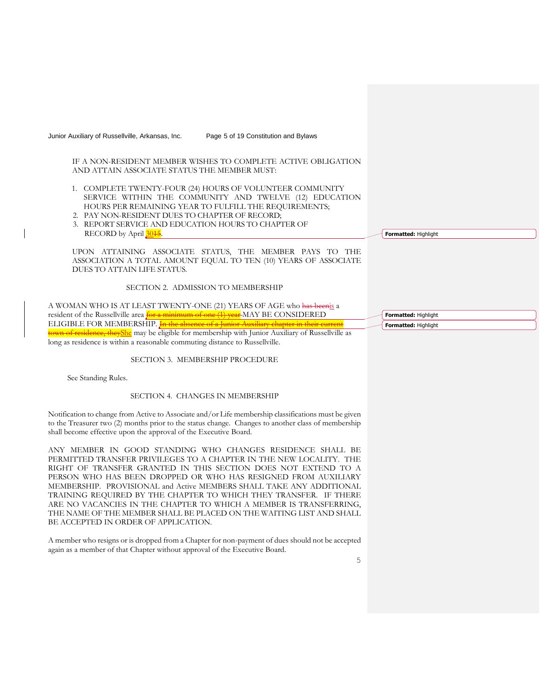Junior Auxiliary of Russellville, Arkansas, Inc. Page 5 of 19 Constitution and Bylaws

IF A NON-RESIDENT MEMBER WISHES TO COMPLETE ACTIVE OBLIGATION AND ATTAIN ASSOCIATE STATUS THE MEMBER MUST:

- 1. COMPLETE TWENTY-FOUR (24) HOURS OF VOLUNTEER COMMUNITY SERVICE WITHIN THE COMMUNITY AND TWELVE (12) EDUCATION HOURS PER REMAINING YEAR TO FULFILL THE REQUIREMENTS;
- 2. PAY NON-RESIDENT DUES TO CHAPTER OF RECORD;
- 3. REPORT SERVICE AND EDUCATION HOURS TO CHAPTER OF RECORD by April 30<sup>15</sup>.

UPON ATTAINING ASSOCIATE STATUS, THE MEMBER PAYS TO THE ASSOCIATION A TOTAL AMOUNT EQUAL TO TEN (10) YEARS OF ASSOCIATE DUES TO ATTAIN LIFE STATUS.

#### SECTION 2. ADMISSION TO MEMBERSHIP

A WOMAN WHO IS AT LEAST TWENTY-ONE (21) YEARS OF AGE who has beenis a resident of the Russellville area  $\frac{f}{f}$  a minimum of one  $(1)$  year MAY BE CONSIDERED ELIGIBLE FOR MEMBERSHIP. **In the absence of a Junio Example 16 Fesidence, theyShe** may be eligible for membership with Junior Auxiliary of Russellville as long as residence is within a reasonable commuting distance to Russellville.

# SECTION 3. MEMBERSHIP PROCEDURE

See Standing Rules.

# SECTION 4. CHANGES IN MEMBERSHIP

Notification to change from Active to Associate and/or Life membership classifications must be given to the Treasurer two (2) months prior to the status change. Changes to another class of membership shall become effective upon the approval of the Executive Board.

ANY MEMBER IN GOOD STANDING WHO CHANGES RESIDENCE SHALL BE PERMITTED TRANSFER PRIVILEGES TO A CHAPTER IN THE NEW LOCALITY. THE RIGHT OF TRANSFER GRANTED IN THIS SECTION DOES NOT EXTEND TO A PERSON WHO HAS BEEN DROPPED OR WHO HAS RESIGNED FROM AUXILIARY MEMBERSHIP. PROVISIONAL and Active MEMBERS SHALL TAKE ANY ADDITIONAL TRAINING REQUIRED BY THE CHAPTER TO WHICH THEY TRANSFER. IF THERE ARE NO VACANCIES IN THE CHAPTER TO WHICH A MEMBER IS TRANSFERRING, THE NAME OF THE MEMBER SHALL BE PLACED ON THE WAITING LIST AND SHALL BE ACCEPTED IN ORDER OF APPLICATION.

A member who resigns or is dropped from a Chapter for non-payment of dues should not be accepted again as a member of that Chapter without approval of the Executive Board.

**Formatted:** Highlight

**Formatted:** Highlight **Formatted:** Highlight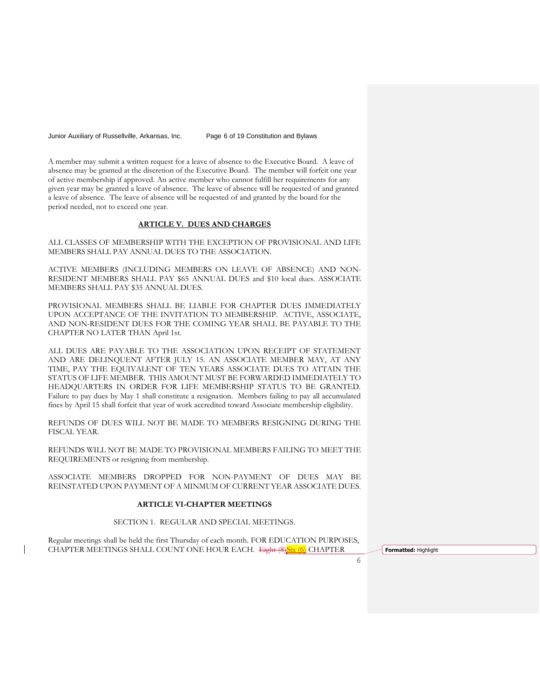Junior Auxiliary of Russellville, Arkansas, Inc. Page 6 of 19 Constitution and Bylaws

A member may submit a written request for a leave of absence to the Executive Board. A leave of absence may be granted at the discretion of the Executive Board. The member will forfeit one year of active membership if approved. An active member who cannot fulfill her requirements for any given year may be granted a leave of absence. The leave of absence will be requested of and granted a leave of absence. The leave of absence will be requested of and granted by the board for the period needed, not to exceed one year.

#### **ARTICLE V. DUES AND CHARGES**

ALL CLASSES OF MEMBERSHIP WITH THE EXCEPTION OF PROVISIONAL AND LIFE MEMBERS SHALL PAY ANNUAL DUES TO THE ASSOCIATION.

ACTIVE MEMBERS (INCLUDING MEMBERS ON LEAVE OF ABSENCE) AND NON-RESIDENT MEMBERS SHALL PAY \$65 ANNUAL DUES and \$10 local dues. ASSOCIATE MEMBERS SHALL PAY \$35 ANNUAL DUES.

PROVISIONAL MEMBERS SHALL BE LIABLE FOR CHAPTER DUES IMMEDIATELY UPON ACCEPTANCE OF THE INVITATION TO MEMBERSHIP. ACTIVE, ASSOCIATE, AND NON-RESIDENT DUES FOR THE COMING YEAR SHALL BE PAYABLE TO THE CHAPTER NO LATER THAN April 1st.

ALL DUES ARE PAYABLE TO THE ASSOCIATION UPON RECEIPT OF STATEMENT AND ARE DELINQUENT AFTER JULY 15. AN ASSOCIATE MEMBER MAY, AT ANY TIME, PAY THE EQUIVALENT OF TEN YEARS ASSOCIATE DUES TO ATTAIN THE STATUS OF LIFE MEMBER. THIS AMOUNT MUST BE FORWARDED IMMEDIATELY TO HEADQUARTERS IN ORDER FOR LIFE MEMBERSHIP STATUS TO BE GRANTED. Failure to pay dues by May 1 shall constitute a resignation. Members failing to pay all accumulated fines by April 15 shall forfeit that year of work accredited toward Associate membership eligibility.

REFUNDS OF DUES WILL NOT BE MADE TO MEMBERS RESIGNING DURING THE FISCAL YEAR.

REFUNDS WILL NOT BE MADE TO PROVISIONAL MEMBERS FAILING TO MEET THE REQUIREMENTS or resigning from membership.

ASSOCIATE MEMBERS DROPPED FOR NON-PAYMENT OF DUES MAY BE REINSTATED UPON PAYMENT OF A MINMUM OF CURRENT YEAR ASSOCIATE DUES.

# **ARTICLE VI-CHAPTER MEETINGS**

SECTION 1. REGULAR AND SPECIAL MEETINGS.

Regular meetings shall be held the first Thursday of each month. FOR EDUCATION PURPOSES, CHAPTER MEETINGS SHALL COUNT ONE HOUR EACH. Eight (8)Six (6) CHAPTER **Formatted:** Highlight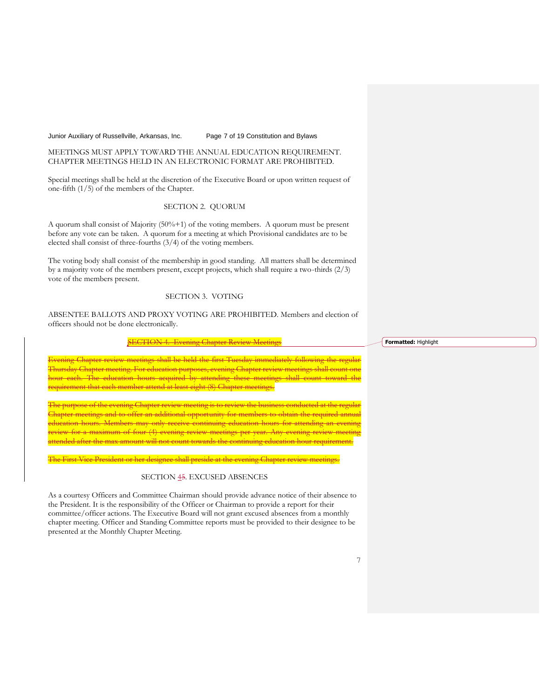# Junior Auxiliary of Russellville, Arkansas, Inc. Page 7 of 19 Constitution and Bylaws

# MEETINGS MUST APPLY TOWARD THE ANNUAL EDUCATION REQUIREMENT. CHAPTER MEETINGS HELD IN AN ELECTRONIC FORMAT ARE PROHIBITED.

Special meetings shall be held at the discretion of the Executive Board or upon written request of one-fifth (1/5) of the members of the Chapter.

# SECTION 2. QUORUM

A quorum shall consist of Majority (50%+1) of the voting members. A quorum must be present before any vote can be taken. A quorum for a meeting at which Provisional candidates are to be elected shall consist of three-fourths (3/4) of the voting members.

The voting body shall consist of the membership in good standing. All matters shall be determined by a majority vote of the members present, except projects, which shall require a two-thirds (2/3) vote of the members present.

# SECTION 3. VOTING

ABSENTEE BALLOTS AND PROXY VOTING ARE PROHIBITED. Members and election of officers should not be done electronically.

#### **SECTION 4. Evening Chapter Review Meetings**

p<del>ter review meetings shall be held the first Tuesday immediately following the regular</del> Thursday Chapter meeting. For education purposes, evening Chapter review meetings shall count one hour each. The education hours acquired by attending these meetings shall count toward the requirement that each member attend at least eight (8) Chapter meetings.

pose of the evening Chapter review meeting is to review the business conducted at  $\overline{\phantom{a}}$ Chapter meetings and to offer an additional opportunity for members to obtain the required annual education hours. Members may only receive continuing education hours for for a maximum of four (4) evening review meetings per year. ttended after the max amount will not count towards the continuing education hour requirement.

The First Vice President or her designee shall preside at the evening Chapter review meetings.

#### SECTION 45. EXCUSED ABSENCES

As a courtesy Officers and Committee Chairman should provide advance notice of their absence to the President. It is the responsibility of the Officer or Chairman to provide a report for their committee/officer actions. The Executive Board will not grant excused absences from a monthly chapter meeting. Officer and Standing Committee reports must be provided to their designee to be presented at the Monthly Chapter Meeting.

**Formatted:** Highlight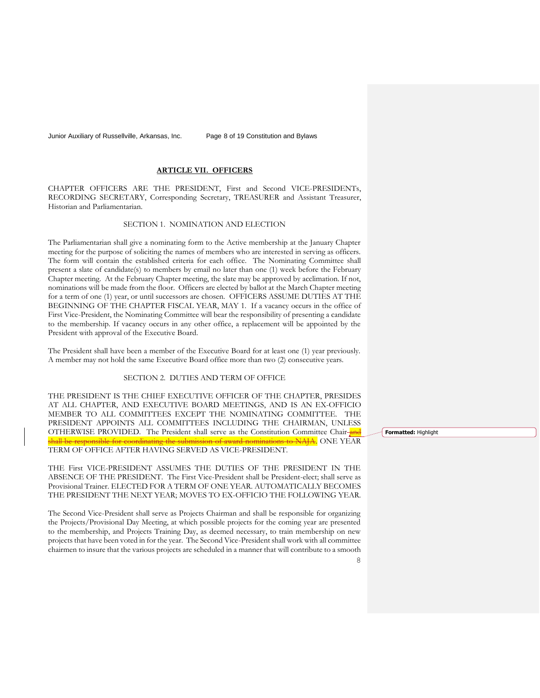Junior Auxiliary of Russellville, Arkansas, Inc. Page 8 of 19 Constitution and Bylaws

# **ARTICLE VII. OFFICERS**

CHAPTER OFFICERS ARE THE PRESIDENT, First and Second VICE-PRESIDENTs, RECORDING SECRETARY, Corresponding Secretary, TREASURER and Assistant Treasurer, Historian and Parliamentarian.

# SECTION 1. NOMINATION AND ELECTION

The Parliamentarian shall give a nominating form to the Active membership at the January Chapter meeting for the purpose of soliciting the names of members who are interested in serving as officers. The form will contain the established criteria for each office. The Nominating Committee shall present a slate of candidate(s) to members by email no later than one (1) week before the February Chapter meeting. At the February Chapter meeting, the slate may be approved by acclimation. If not, nominations will be made from the floor. Officers are elected by ballot at the March Chapter meeting for a term of one (1) year, or until successors are chosen. OFFICERS ASSUME DUTIES AT THE BEGINNING OF THE CHAPTER FISCAL YEAR, MAY 1. If a vacancy occurs in the office of First Vice-President, the Nominating Committee will bear the responsibility of presenting a candidate to the membership. If vacancy occurs in any other office, a replacement will be appointed by the President with approval of the Executive Board.

The President shall have been a member of the Executive Board for at least one (1) year previously. A member may not hold the same Executive Board office more than two (2) consecutive years.

# SECTION 2. DUTIES AND TERM OF OFFICE

THE PRESIDENT IS THE CHIEF EXECUTIVE OFFICER OF THE CHAPTER, PRESIDES AT ALL CHAPTER, AND EXECUTIVE BOARD MEETINGS, AND IS AN EX-OFFICIO MEMBER TO ALL COMMITTEES EXCEPT THE NOMINATING COMMITTEE. THE PRESIDENT APPOINTS ALL COMMITTEES INCLUDING THE CHAIRMAN, UNLESS OTHERWISE PROVIDED. The President shall serve as the Constitution Committee Chair-and hall be responsible for coordinating the submission of award nominations to NAJA. ONE YEAR

TERM OF OFFICE AFTER HAVING SERVED AS VICE-PRESIDENT.

THE First VICE-PRESIDENT ASSUMES THE DUTIES OF THE PRESIDENT IN THE ABSENCE OF THE PRESIDENT. The First Vice-President shall be President-elect; shall serve as Provisional Trainer. ELECTED FOR A TERM OF ONE YEAR. AUTOMATICALLY BECOMES THE PRESIDENT THE NEXT YEAR; MOVES TO EX-OFFICIO THE FOLLOWING YEAR.

The Second Vice-President shall serve as Projects Chairman and shall be responsible for organizing the Projects/Provisional Day Meeting, at which possible projects for the coming year are presented to the membership, and Projects Training Day, as deemed necessary, to train membership on new projects that have been voted in for the year. The Second Vice-President shall work with all committee chairmen to insure that the various projects are scheduled in a manner that will contribute to a smooth **Formatted:** Highlight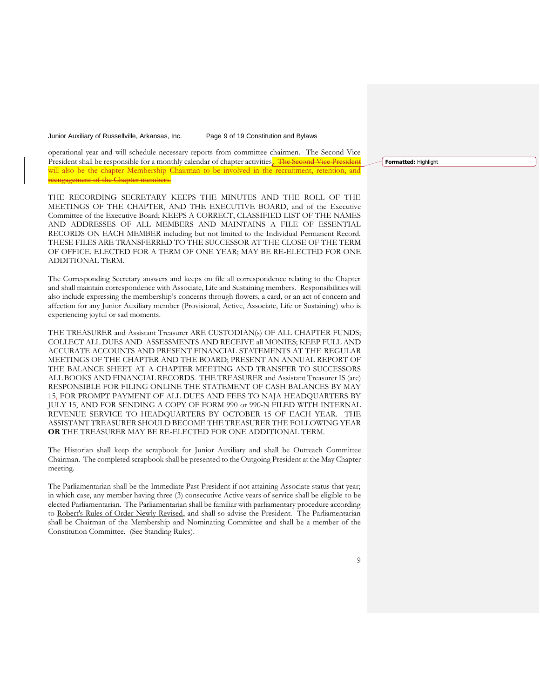Junior Auxiliary of Russellville, Arkansas, Inc. Page 9 of 19 Constitution and Bylaws

operational year and will schedule necessary reports from committee chairmen. The Second Vice President shall be responsible for a monthly calendar of chapter activities. The Second Vice President will also be the chapter Membership Chairman to be involved in the reengagement of the Chapter members.

THE RECORDING SECRETARY KEEPS THE MINUTES AND THE ROLL OF THE MEETINGS OF THE CHAPTER, AND THE EXECUTIVE BOARD, and of the Executive Committee of the Executive Board; KEEPS A CORRECT, CLASSIFIED LIST OF THE NAMES AND ADDRESSES OF ALL MEMBERS AND MAINTAINS A FILE OF ESSENTIAL RECORDS ON EACH MEMBER including but not limited to the Individual Permanent Record. THESE FILES ARE TRANSFERRED TO THE SUCCESSOR AT THE CLOSE OF THE TERM OF OFFICE. ELECTED FOR A TERM OF ONE YEAR; MAY BE RE-ELECTED FOR ONE ADDITIONAL TERM.

The Corresponding Secretary answers and keeps on file all correspondence relating to the Chapter and shall maintain correspondence with Associate, Life and Sustaining members. Responsibilities will also include expressing the membership's concerns through flowers, a card, or an act of concern and affection for any Junior Auxiliary member (Provisional, Active, Associate, Life or Sustaining) who is experiencing joyful or sad moments.

THE TREASURER and Assistant Treasurer ARE CUSTODIAN(s) OF ALL CHAPTER FUNDS; COLLECT ALL DUES AND ASSESSMENTS AND RECEIVE all MONIES; KEEP FULL AND ACCURATE ACCOUNTS AND PRESENT FINANCIAL STATEMENTS AT THE REGULAR MEETINGS OF THE CHAPTER AND THE BOARD; PRESENT AN ANNUAL REPORT OF THE BALANCE SHEET AT A CHAPTER MEETING AND TRANSFER TO SUCCESSORS ALL BOOKS AND FINANCIAL RECORDS. THE TREASURER and Assistant Treasurer IS (are) RESPONSIBLE FOR FILING ONLINE THE STATEMENT OF CASH BALANCES BY MAY 15, FOR PROMPT PAYMENT OF ALL DUES AND FEES TO NAJA HEADQUARTERS BY JULY 15, AND FOR SENDING A COPY OF FORM 990 or 990-N FILED WITH INTERNAL REVENUE SERVICE TO HEADQUARTERS BY OCTOBER 15 OF EACH YEAR. THE ASSISTANT TREASURER SHOULD BECOME THE TREASURER THE FOLLOWING YEAR **OR** THE TREASURER MAY BE RE-ELECTED FOR ONE ADDITIONAL TERM.

The Historian shall keep the scrapbook for Junior Auxiliary and shall be Outreach Committee Chairman. The completed scrapbook shall be presented to the Outgoing President at the May Chapter meeting.

The Parliamentarian shall be the Immediate Past President if not attaining Associate status that year; in which case, any member having three (3) consecutive Active years of service shall be eligible to be elected Parliamentarian. The Parliamentarian shall be familiar with parliamentary procedure according to Robert's Rules of Order Newly Revised, and shall so advise the President. The Parliamentarian shall be Chairman of the Membership and Nominating Committee and shall be a member of the Constitution Committee. (See Standing Rules).

**Formatted:** Highlight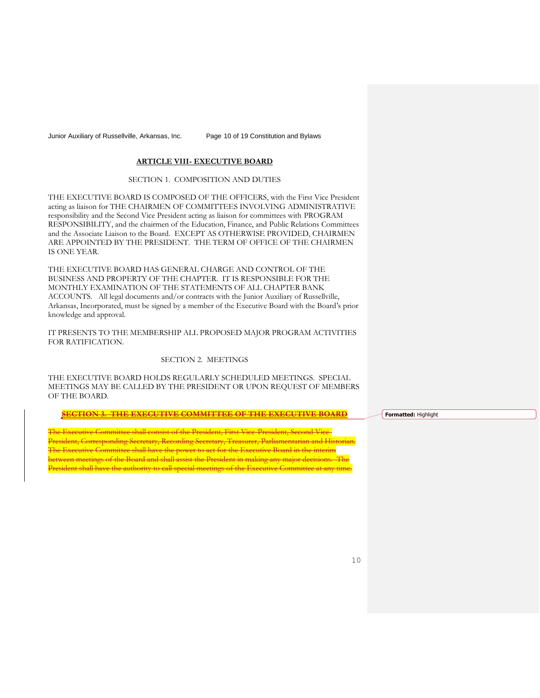Junior Auxiliary of Russellville, Arkansas, Inc. Page 10 of 19 Constitution and Bylaws

# **ARTICLE VIII- EXECUTIVE BOARD**

#### SECTION 1. COMPOSITION AND DUTIES

THE EXECUTIVE BOARD IS COMPOSED OF THE OFFICERS, with the First Vice President acting as liaison for THE CHAIRMEN OF COMMITTEES INVOLVING ADMINISTRATIVE responsibility and the Second Vice President acting as liaison for committees with PROGRAM RESPONSIBILITY, and the chairmen of the Education, Finance, and Public Relations Committees and the Associate Liaison to the Board. EXCEPT AS OTHERWISE PROVIDED, CHAIRMEN ARE APPOINTED BY THE PRESIDENT. THE TERM OF OFFICE OF THE CHAIRMEN IS ONE YEAR.

THE EXECUTIVE BOARD HAS GENERAL CHARGE AND CONTROL OF THE BUSINESS AND PROPERTY OF THE CHAPTER. IT IS RESPONSIBLE FOR THE MONTHLY EXAMINATION OF THE STATEMENTS OF ALL CHAPTER BANK ACCOUNTS. All legal documents and/or contracts with the Junior Auxiliary of Russellville, Arkansas, Incorporated, must be signed by a member of the Executive Board with the Board's prior knowledge and approval.

IT PRESENTS TO THE MEMBERSHIP ALL PROPOSED MAJOR PROGRAM ACTIVITIES FOR RATIFICATION.

# SECTION 2. MEETINGS

THE EXECUTIVE BOARD HOLDS REGULARLY SCHEDULED MEETINGS. SPECIAL MEETINGS MAY BE CALLED BY THE PRESIDENT OR UPON REQUEST OF MEMBERS OF THE BOARD.

**SECTION 3. THE EXECUTIVE COMMITTEE OF THE EXECUTIVE BOARD**

i<del>ve Committee shall consist of the President, First Vice-President, Second Vice-</del> President, Corresponding Secretary, Recording Secretary, Treasurer, Parliamentarian and Historian. The Executive Committee shall have the power to act for the Executive Board in the interim between meetings of the Board and shall assist the President in making any major decisions. The resident shall have the authority to call special meetings of the Executive Committee at any

**Formatted:** Highlight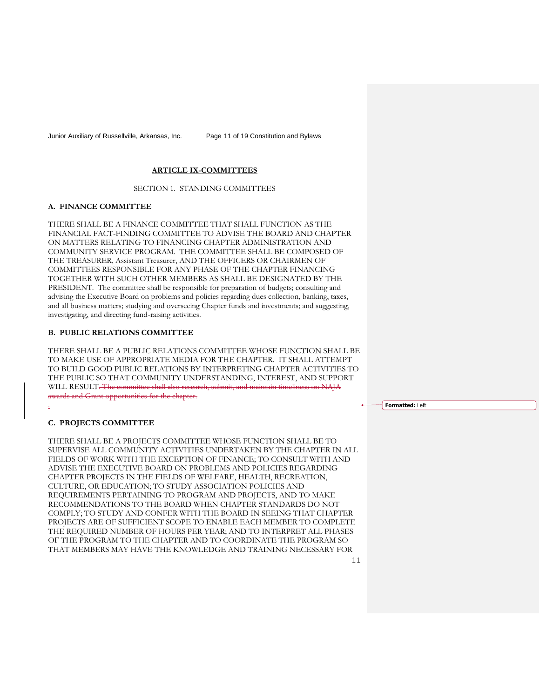Junior Auxiliary of Russellville, Arkansas, Inc. Page 11 of 19 Constitution and Bylaws

# **ARTICLE IX-COMMITTEES**

SECTION 1. STANDING COMMITTEES

#### **A. FINANCE COMMITTEE**

THERE SHALL BE A FINANCE COMMITTEE THAT SHALL FUNCTION AS THE FINANCIAL FACT-FINDING COMMITTEE TO ADVISE THE BOARD AND CHAPTER ON MATTERS RELATING TO FINANCING CHAPTER ADMINISTRATION AND COMMUNITY SERVICE PROGRAM. THE COMMITTEE SHALL BE COMPOSED OF THE TREASURER, Assistant Treasurer, AND THE OFFICERS OR CHAIRMEN OF COMMITTEES RESPONSIBLE FOR ANY PHASE OF THE CHAPTER FINANCING TOGETHER WITH SUCH OTHER MEMBERS AS SHALL BE DESIGNATED BY THE PRESIDENT. The committee shall be responsible for preparation of budgets; consulting and advising the Executive Board on problems and policies regarding dues collection, banking, taxes, and all business matters; studying and overseeing Chapter funds and investments; and suggesting, investigating, and directing fund-raising activities.

#### **B. PUBLIC RELATIONS COMMITTEE**

THERE SHALL BE A PUBLIC RELATIONS COMMITTEE WHOSE FUNCTION SHALL BE TO MAKE USE OF APPROPRIATE MEDIA FOR THE CHAPTER. IT SHALL ATTEMPT TO BUILD GOOD PUBLIC RELATIONS BY INTERPRETING CHAPTER ACTIVITIES TO THE PUBLIC SO THAT COMMUNITY UNDERSTANDING, INTEREST, AND SUPPORT WILL RESULT. The committee shall also research, submit, and maintain timeliness on NAJA awards and Grant opportunities for the chapter.

**Formatted:** Left

## **C. PROJECTS COMMITTEE**

.

THERE SHALL BE A PROJECTS COMMITTEE WHOSE FUNCTION SHALL BE TO SUPERVISE ALL COMMUNITY ACTIVITIES UNDERTAKEN BY THE CHAPTER IN ALL FIELDS OF WORK WITH THE EXCEPTION OF FINANCE; TO CONSULT WITH AND ADVISE THE EXECUTIVE BOARD ON PROBLEMS AND POLICIES REGARDING CHAPTER PROJECTS IN THE FIELDS OF WELFARE, HEALTH, RECREATION, CULTURE, OR EDUCATION; TO STUDY ASSOCIATION POLICIES AND REQUIREMENTS PERTAINING TO PROGRAM AND PROJECTS, AND TO MAKE RECOMMENDATIONS TO THE BOARD WHEN CHAPTER STANDARDS DO NOT COMPLY; TO STUDY AND CONFER WITH THE BOARD IN SEEING THAT CHAPTER PROJECTS ARE OF SUFFICIENT SCOPE TO ENABLE EACH MEMBER TO COMPLETE THE REQUIRED NUMBER OF HOURS PER YEAR; AND TO INTERPRET ALL PHASES OF THE PROGRAM TO THE CHAPTER AND TO COORDINATE THE PROGRAM SO THAT MEMBERS MAY HAVE THE KNOWLEDGE AND TRAINING NECESSARY FOR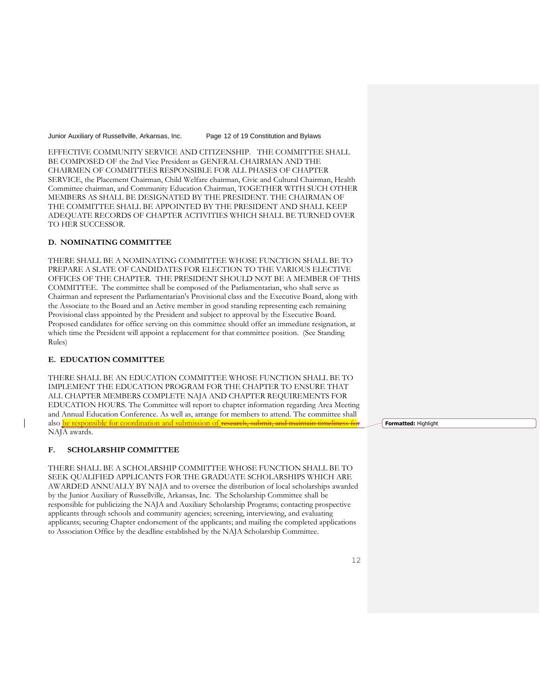Junior Auxiliary of Russellville, Arkansas, Inc. Page 12 of 19 Constitution and Bylaws

EFFECTIVE COMMUNITY SERVICE AND CITIZENSHIP. THE COMMITTEE SHALL BE COMPOSED OF the 2nd Vice President as GENERAL CHAIRMAN AND THE CHAIRMEN OF COMMITTEES RESPONSIBLE FOR ALL PHASES OF CHAPTER SERVICE, the Placement Chairman, Child Welfare chairman, Civic and Cultural Chairman, Health Committee chairman, and Community Education Chairman, TOGETHER WITH SUCH OTHER MEMBERS AS SHALL BE DESIGNATED BY THE PRESIDENT. THE CHAIRMAN OF THE COMMITTEE SHALL BE APPOINTED BY THE PRESIDENT AND SHALL KEEP ADEQUATE RECORDS OF CHAPTER ACTIVITIES WHICH SHALL BE TURNED OVER TO HER SUCCESSOR.

# **D. NOMINATING COMMITTEE**

THERE SHALL BE A NOMINATING COMMITTEE WHOSE FUNCTION SHALL BE TO PREPARE A SLATE OF CANDIDATES FOR ELECTION TO THE VARIOUS ELECTIVE OFFICES OF THE CHAPTER. THE PRESIDENT SHOULD NOT BE A MEMBER OF THIS COMMITTEE. The committee shall be composed of the Parliamentarian, who shall serve as Chairman and represent the Parliamentarian's Provisional class and the Executive Board, along with the Associate to the Board and an Active member in good standing representing each remaining Provisional class appointed by the President and subject to approval by the Executive Board. Proposed candidates for office serving on this committee should offer an immediate resignation, at which time the President will appoint a replacement for that committee position. (See Standing Rules)

# **E. EDUCATION COMMITTEE**

THERE SHALL BE AN EDUCATION COMMITTEE WHOSE FUNCTION SHALL BE TO IMPLEMENT THE EDUCATION PROGRAM FOR THE CHAPTER TO ENSURE THAT ALL CHAPTER MEMBERS COMPLETE NAJA AND CHAPTER REQUIREMENTS FOR EDUCATION HOURS. The Committee will report to chapter information regarding Area Meeting and Annual Education Conference. As well as, arrange for members to attend. The committee shall also **be responsible for coordination and submission of research**, NAJA awards.

# **F. SCHOLARSHIP COMMITTEE**

THERE SHALL BE A SCHOLARSHIP COMMITTEE WHOSE FUNCTION SHALL BE TO SEEK QUALIFIED APPLICANTS FOR THE GRADUATE SCHOLARSHIPS WHICH ARE AWARDED ANNUALLY BY NAJA and to oversee the distribution of local scholarships awarded by the Junior Auxiliary of Russellville, Arkansas, Inc. The Scholarship Committee shall be responsible for publicizing the NAJA and Auxiliary Scholarship Programs; contacting prospective applicants through schools and community agencies; screening, interviewing, and evaluating applicants; securing Chapter endorsement of the applicants; and mailing the completed applications to Association Office by the deadline established by the NAJA Scholarship Committee.

**Formatted:** Highlight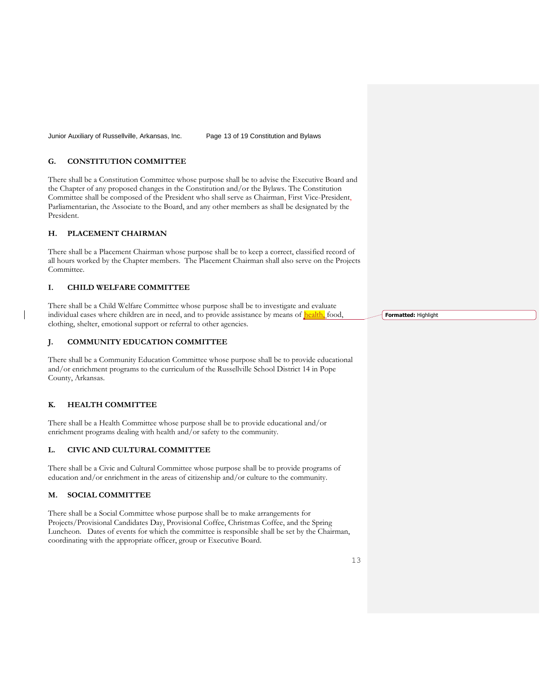Junior Auxiliary of Russellville, Arkansas, Inc. Page 13 of 19 Constitution and Bylaws

# **G. CONSTITUTION COMMITTEE**

There shall be a Constitution Committee whose purpose shall be to advise the Executive Board and the Chapter of any proposed changes in the Constitution and/or the Bylaws. The Constitution Committee shall be composed of the President who shall serve as Chairman, First Vice-President, Parliamentarian, the Associate to the Board, and any other members as shall be designated by the President.

# **H. PLACEMENT CHAIRMAN**

There shall be a Placement Chairman whose purpose shall be to keep a correct, classified record of all hours worked by the Chapter members. The Placement Chairman shall also serve on the Projects Committee.

# **I. CHILD WELFARE COMMITTEE**

There shall be a Child Welfare Committee whose purpose shall be to investigate and evaluate individual cases where children are in need, and to provide assistance by means of **health**, food, clothing, shelter, emotional support or referral to other agencies.

# **J. COMMUNITY EDUCATION COMMITTEE**

There shall be a Community Education Committee whose purpose shall be to provide educational and/or enrichment programs to the curriculum of the Russellville School District 14 in Pope County, Arkansas.

# **K. HEALTH COMMITTEE**

There shall be a Health Committee whose purpose shall be to provide educational and/or enrichment programs dealing with health and/or safety to the community.

# **L. CIVIC AND CULTURAL COMMITTEE**

There shall be a Civic and Cultural Committee whose purpose shall be to provide programs of education and/or enrichment in the areas of citizenship and/or culture to the community.

#### **M. SOCIAL COMMITTEE**

There shall be a Social Committee whose purpose shall be to make arrangements for Projects/Provisional Candidates Day, Provisional Coffee, Christmas Coffee, and the Spring Luncheon. Dates of events for which the committee is responsible shall be set by the Chairman, coordinating with the appropriate officer, group or Executive Board.

**Formatted:** Highlight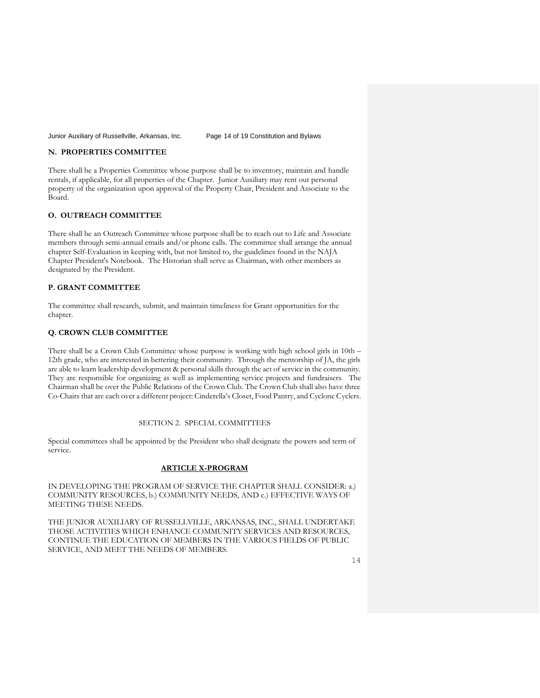Junior Auxiliary of Russellville, Arkansas, Inc. Page 14 of 19 Constitution and Bylaws

# **N. PROPERTIES COMMITTEE**

There shall be a Properties Committee whose purpose shall be to inventory, maintain and handle rentals, if applicable, for all properties of the Chapter. Junior Auxiliary may rent out personal property of the organization upon approval of the Property Chair, President and Associate to the Board.

# **O. OUTREACH COMMITTEE**

There shall be an Outreach Committee whose purpose shall be to reach out to Life and Associate members through semi-annual emails and/or phone calls. The committee shall arrange the annual chapter Self-Evaluation in keeping with, but not limited to, the guidelines found in the NAJA Chapter President's Notebook. The Historian shall serve as Chairman, with other members as designated by the President.

# **P. GRANT COMMITTEE**

The committee shall research, submit, and maintain timeliness for Grant opportunities for the chapter.

# **Q. CROWN CLUB COMMITTEE**

There shall be a Crown Club Committee whose purpose is working with high school girls in 10th – 12th grade, who are interested in bettering their community. Through the mentorship of JA, the girls are able to learn leadership development & personal skills through the act of service in the community. They are responsible for organizing as well as implementing service projects and fundraisers. The Chairman shall be over the Public Relations of the Crown Club. The Crown Club shall also have three Co-Chairs that are each over a different project: Cinderella's Closet, Food Pantry, and Cyclone Cyclers.

#### SECTION 2. SPECIAL COMMITTEES

Special committees shall be appointed by the President who shall designate the powers and term of service.

#### **ARTICLE X-PROGRAM**

IN DEVELOPING THE PROGRAM OF SERVICE THE CHAPTER SHALL CONSIDER: a.) COMMUNITY RESOURCES, b.) COMMUNITY NEEDS, AND c.) EFFECTIVE WAYS OF MEETING THESE NEEDS.

THE JUNIOR AUXILIARY OF RUSSELLVILLE, ARKANSAS, INC., SHALL UNDERTAKE THOSE ACTIVITIES WHICH ENHANCE COMMUNITY SERVICES AND RESOURCES, CONTINUE THE EDUCATION OF MEMBERS IN THE VARIOUS FIELDS OF PUBLIC SERVICE, AND MEET THE NEEDS OF MEMBERS.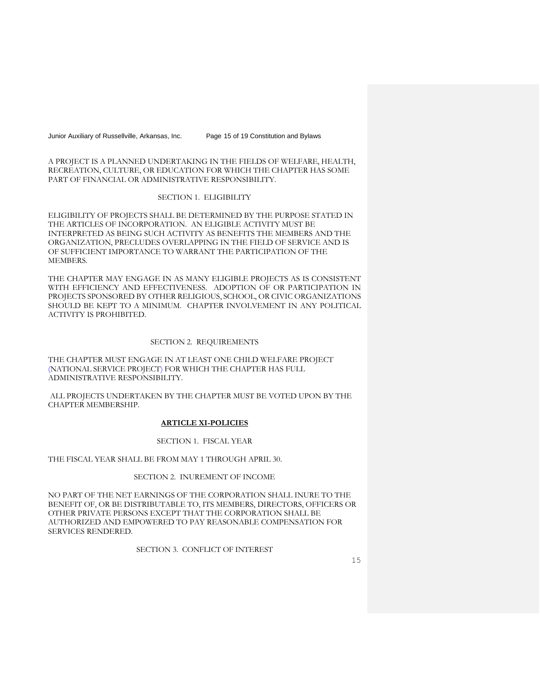Junior Auxiliary of Russellville, Arkansas, Inc. Page 15 of 19 Constitution and Bylaws

A PROJECT IS A PLANNED UNDERTAKING IN THE FIELDS OF WELFARE, HEALTH, RECREATION, CULTURE, OR EDUCATION FOR WHICH THE CHAPTER HAS SOME PART OF FINANCIAL OR ADMINISTRATIVE RESPONSIBILITY.

# SECTION 1. ELIGIBILITY

ELIGIBILITY OF PROJECTS SHALL BE DETERMINED BY THE PURPOSE STATED IN THE ARTICLES OF INCORPORATION. AN ELIGIBLE ACTIVITY MUST BE INTERPRETED AS BEING SUCH ACTIVITY AS BENEFITS THE MEMBERS AND THE ORGANIZATION, PRECLUDES OVERLAPPING IN THE FIELD OF SERVICE AND IS OF SUFFICIENT IMPORTANCE TO WARRANT THE PARTICIPATION OF THE MEMBERS.

THE CHAPTER MAY ENGAGE IN AS MANY ELIGIBLE PROJECTS AS IS CONSISTENT WITH EFFICIENCY AND EFFECTIVENESS. ADOPTION OF OR PARTICIPATION IN PROJECTS SPONSORED BY OTHER RELIGIOUS, SCHOOL, OR CIVIC ORGANIZATIONS SHOULD BE KEPT TO A MINIMUM. CHAPTER INVOLVEMENT IN ANY POLITICAL ACTIVITY IS PROHIBITED.

# SECTION 2. REQUIREMENTS

THE CHAPTER MUST ENGAGE IN AT LEAST ONE CHILD WELFARE PROJECT (NATIONAL SERVICE PROJECT) FOR WHICH THE CHAPTER HAS FULL ADMINISTRATIVE RESPONSIBILITY.

ALL PROJECTS UNDERTAKEN BY THE CHAPTER MUST BE VOTED UPON BY THE CHAPTER MEMBERSHIP.

# **ARTICLE XI-POLICIES**

#### SECTION 1. FISCAL YEAR

THE FISCAL YEAR SHALL BE FROM MAY 1 THROUGH APRIL 30.

## SECTION 2. INUREMENT OF INCOME

NO PART OF THE NET EARNINGS OF THE CORPORATION SHALL INURE TO THE BENEFIT OF, OR BE DISTRIBUTABLE TO, ITS MEMBERS, DIRECTORS, OFFICERS OR OTHER PRIVATE PERSONS EXCEPT THAT THE CORPORATION SHALL BE AUTHORIZED AND EMPOWERED TO PAY REASONABLE COMPENSATION FOR SERVICES RENDERED.

SECTION 3. CONFLICT OF INTEREST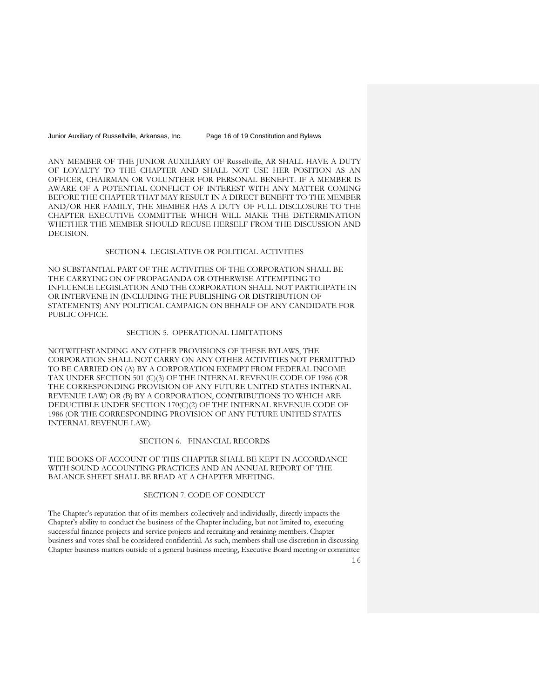Junior Auxiliary of Russellville, Arkansas, Inc. Page 16 of 19 Constitution and Bylaws

ANY MEMBER OF THE JUNIOR AUXILIARY OF Russellville, AR SHALL HAVE A DUTY OF LOYALTY TO THE CHAPTER AND SHALL NOT USE HER POSITION AS AN OFFICER, CHAIRMAN OR VOLUNTEER FOR PERSONAL BENEFIT. IF A MEMBER IS AWARE OF A POTENTIAL CONFLICT OF INTEREST WITH ANY MATTER COMING BEFORE THE CHAPTER THAT MAY RESULT IN A DIRECT BENEFIT TO THE MEMBER AND/OR HER FAMILY, THE MEMBER HAS A DUTY OF FULL DISCLOSURE TO THE CHAPTER EXECUTIVE COMMITTEE WHICH WILL MAKE THE DETERMINATION WHETHER THE MEMBER SHOULD RECUSE HERSELF FROM THE DISCUSSION AND DECISION.

#### SECTION 4. LEGISLATIVE OR POLITICAL ACTIVITIES

NO SUBSTANTIAL PART OF THE ACTIVITIES OF THE CORPORATION SHALL BE THE CARRYING ON OF PROPAGANDA OR OTHERWISE ATTEMPTING TO INFLUENCE LEGISLATION AND THE CORPORATION SHALL NOT PARTICIPATE IN OR INTERVENE IN (INCLUDING THE PUBLISHING OR DISTRIBUTION OF STATEMENTS) ANY POLITICAL CAMPAIGN ON BEHALF OF ANY CANDIDATE FOR PUBLIC OFFICE.

#### SECTION 5. OPERATIONAL LIMITATIONS

NOTWITHSTANDING ANY OTHER PROVISIONS OF THESE BYLAWS, THE CORPORATION SHALL NOT CARRY ON ANY OTHER ACTIVITIES NOT PERMITTED TO BE CARRIED ON (A) BY A CORPORATION EXEMPT FROM FEDERAL INCOME TAX UNDER SECTION 501 (C)(3) OF THE INTERNAL REVENUE CODE OF 1986 (OR THE CORRESPONDING PROVISION OF ANY FUTURE UNITED STATES INTERNAL REVENUE LAW) OR (B) BY A CORPORATION, CONTRIBUTIONS TO WHICH ARE DEDUCTIBLE UNDER SECTION 170(C)(2) OF THE INTERNAL REVENUE CODE OF 1986 (OR THE CORRESPONDING PROVISION OF ANY FUTURE UNITED STATES INTERNAL REVENUE LAW).

# SECTION 6. FINANCIAL RECORDS

THE BOOKS OF ACCOUNT OF THIS CHAPTER SHALL BE KEPT IN ACCORDANCE WITH SOUND ACCOUNTING PRACTICES AND AN ANNUAL REPORT OF THE BALANCE SHEET SHALL BE READ AT A CHAPTER MEETING.

#### SECTION 7. CODE OF CONDUCT

The Chapter's reputation that of its members collectively and individually, directly impacts the Chapter's ability to conduct the business of the Chapter including, but not limited to, executing successful finance projects and service projects and recruiting and retaining members. Chapter business and votes shall be considered confidential. As such, members shall use discretion in discussing Chapter business matters outside of a general business meeting, Executive Board meeting or committee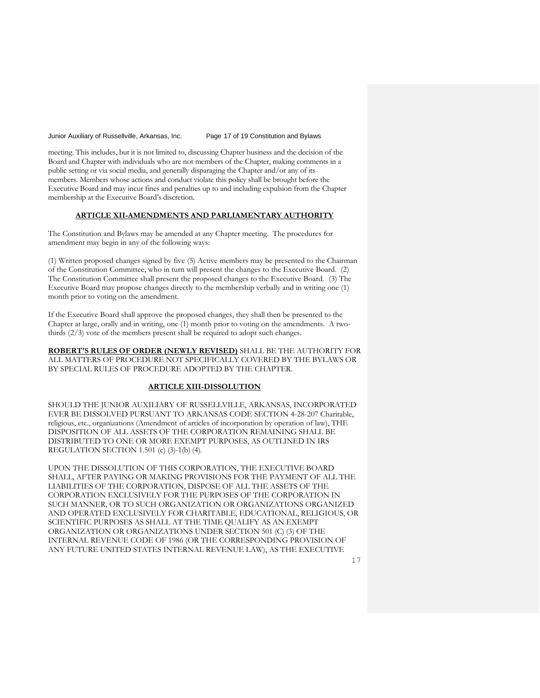Junior Auxiliary of Russellville, Arkansas, Inc. Page 17 of 19 Constitution and Bylaws

meeting. This includes, but it is not limited to, discussing Chapter business and the decision of the Board and Chapter with individuals who are not members of the Chapter, making comments in a public setting or via social media, and generally disparaging the Chapter and/or any of its members. Members whose actions and conduct violate this policy shall be brought before the Executive Board and may incur fines and penalties up to and including expulsion from the Chapter membership at the Executive Board's discretion.

# **ARTICLE XII-AMENDMENTS AND PARLIAMENTARY AUTHORITY**

The Constitution and Bylaws may be amended at any Chapter meeting. The procedures for amendment may begin in any of the following ways:

(1) Written proposed changes signed by five (5) Active members may be presented to the Chairman of the Constitution Committee, who in turn will present the changes to the Executive Board. (2) The Constitution Committee shall present the proposed changes to the Executive Board. (3) The Executive Board may propose changes directly to the membership verbally and in writing one (1) month prior to voting on the amendment.

If the Executive Board shall approve the proposed changes, they shall then be presented to the Chapter at large, orally and in writing, one (1) month prior to voting on the amendments. A twothirds (2/3) vote of the members present shall be required to adopt such changes.

**ROBERT'S RULES OF ORDER (NEWLY REVISED)** SHALL BE THE AUTHORITY FOR ALL MATTERS OF PROCEDURE NOT SPECIFICALLY COVERED BY THE BYLAWS OR BY SPECIAL RULES OF PROCEDURE ADOPTED BY THE CHAPTER.

#### **ARTICLE XIII-DISSOLUTION**

SHOULD THE JUNIOR AUXILIARY OF RUSSELLVILLE, ARKANSAS, INCORPORATED EVER BE DISSOLVED PURSUANT TO ARKANSAS CODE SECTION 4-28-207 Charitable, religious, etc., organizations (Amendment of articles of incorporation by operation of law), THE DISPOSITION OF ALL ASSETS OF THE CORPORATION REMAINING SHALL BE DISTRIBUTED TO ONE OR MORE EXEMPT PURPOSES, AS OUTLINED IN IRS REGULATION SECTION 1.501 (c) (3)-1(b) (4).

UPON THE DISSOLUTION OF THIS CORPORATION, THE EXECUTIVE BOARD SHALL, AFTER PAYING OR MAKING PROVISIONS FOR THE PAYMENT OF ALL THE LIABILITIES OF THE CORPORATION, DISPOSE OF ALL THE ASSETS OF THE CORPORATION EXCLUSIVELY FOR THE PURPOSES OF THE CORPORATION IN SUCH MANNER, OR TO SUCH ORGANIZATION OR ORGANIZATIONS ORGANIZED AND OPERATED EXCLUSIVELY FOR CHARITABLE, EDUCATIONAL, RELIGIOUS, OR SCIENTIFIC PURPOSES AS SHALL AT THE TIME QUALIFY AS AN EXEMPT ORGANIZATION OR ORGANIZATIONS UNDER SECTION 501 (C) (3) OF THE INTERNAL REVENUE CODE OF 1986 (OR THE CORRESPONDING PROVISION OF ANY FUTURE UNITED STATES INTERNAL REVENUE LAW), AS THE EXECUTIVE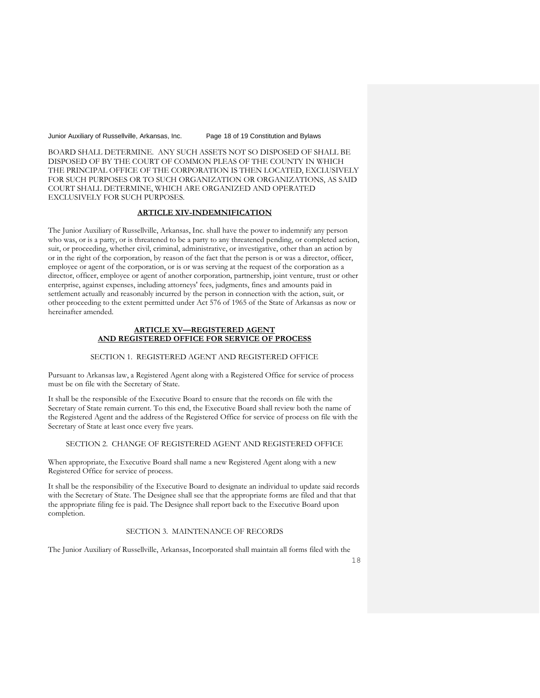Junior Auxiliary of Russellville, Arkansas, Inc. Page 18 of 19 Constitution and Bylaws

BOARD SHALL DETERMINE. ANY SUCH ASSETS NOT SO DISPOSED OF SHALL BE DISPOSED OF BY THE COURT OF COMMON PLEAS OF THE COUNTY IN WHICH THE PRINCIPAL OFFICE OF THE CORPORATION IS THEN LOCATED, EXCLUSIVELY FOR SUCH PURPOSES OR TO SUCH ORGANIZATION OR ORGANIZATIONS, AS SAID COURT SHALL DETERMINE, WHICH ARE ORGANIZED AND OPERATED EXCLUSIVELY FOR SUCH PURPOSES.

# **ARTICLE XIV-INDEMNIFICATION**

The Junior Auxiliary of Russellville, Arkansas, Inc. shall have the power to indemnify any person who was, or is a party, or is threatened to be a party to any threatened pending, or completed action, suit, or proceeding, whether civil, criminal, administrative, or investigative, other than an action by or in the right of the corporation, by reason of the fact that the person is or was a director, officer, employee or agent of the corporation, or is or was serving at the request of the corporation as a director, officer, employee or agent of another corporation, partnership, joint venture, trust or other enterprise, against expenses, including attorneys' fees, judgments, fines and amounts paid in settlement actually and reasonably incurred by the person in connection with the action, suit, or other proceeding to the extent permitted under Act 576 of 1965 of the State of Arkansas as now or hereinafter amended.

#### **ARTICLE XV—REGISTERED AGENT AND REGISTERED OFFICE FOR SERVICE OF PROCESS**

## SECTION 1. REGISTERED AGENT AND REGISTERED OFFICE

Pursuant to Arkansas law, a Registered Agent along with a Registered Office for service of process must be on file with the Secretary of State.

It shall be the responsible of the Executive Board to ensure that the records on file with the Secretary of State remain current. To this end, the Executive Board shall review both the name of the Registered Agent and the address of the Registered Office for service of process on file with the Secretary of State at least once every five years.

# SECTION 2. CHANGE OF REGISTERED AGENT AND REGISTERED OFFICE

When appropriate, the Executive Board shall name a new Registered Agent along with a new Registered Office for service of process.

It shall be the responsibility of the Executive Board to designate an individual to update said records with the Secretary of State. The Designee shall see that the appropriate forms are filed and that that the appropriate filing fee is paid. The Designee shall report back to the Executive Board upon completion.

# SECTION 3. MAINTENANCE OF RECORDS

The Junior Auxiliary of Russellville, Arkansas, Incorporated shall maintain all forms filed with the